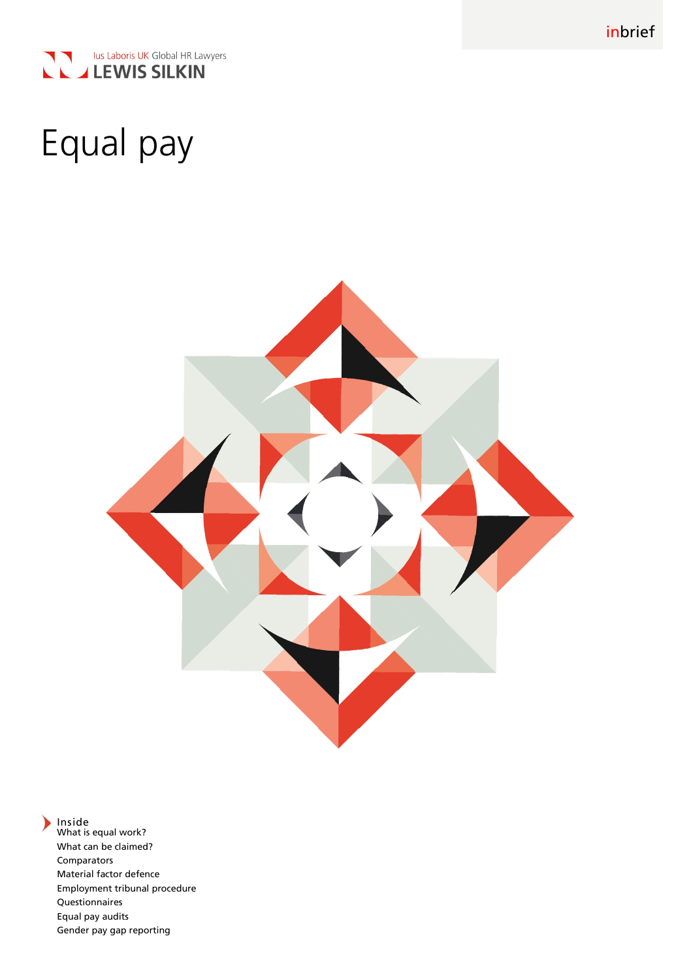



# Equal pay



Inside What is equal work? What can be claimed? Comparators Material factor defence Employment tribunal procedure Questionnaires Equal pay audits Gender pay gap reporting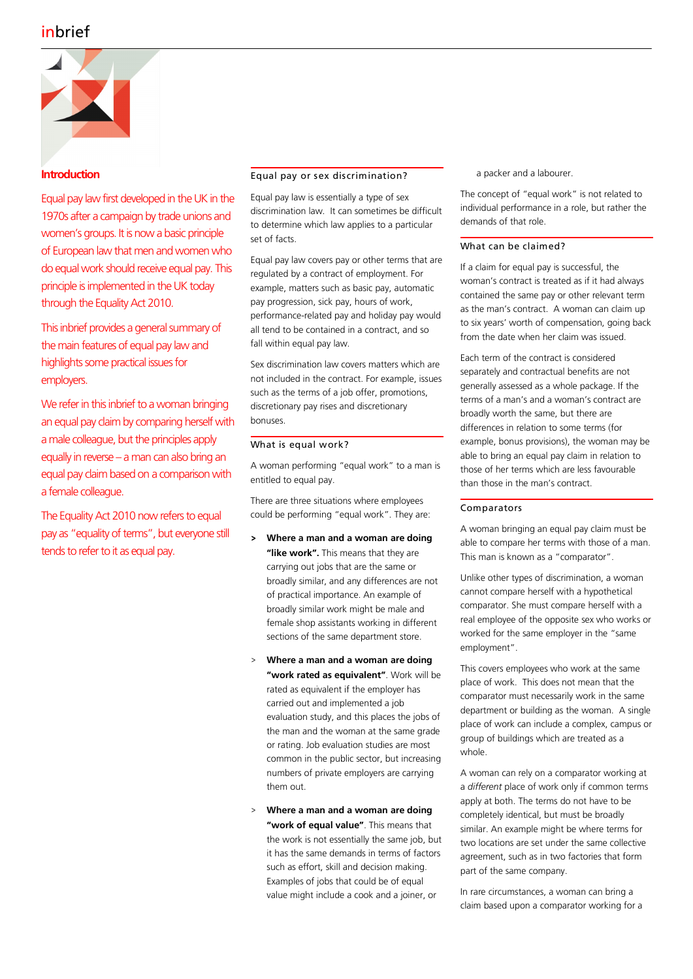

## **Introduction**

Equal pay law first developed in the UK in the 1970s after a campaign by trade unions and women's groups. It is now a basic principle of European law that men and women who do equal work should receive equal pay. This principle is implemented in the UK today through the Equality Act 2010.

This inbrief provides a general summary of the main features of equal pay law and highlights some practical issues for employers.

We refer in this inbrief to a woman bringing an equal pay claim by comparing herself with a male colleague, but the principles apply equally in reverse – a man can also bring an equal pay claim based on a comparison with a female colleague.

The Equality Act 2010 now refers to equal pay as "equality of terms", but everyone still tends to refer to it as equal pay.

## Equal pay or sex discrimination?

Equal pay law is essentially a type of sex discrimination law. It can sometimes be difficult to determine which law applies to a particular set of facts.

Equal pay law covers pay or other terms that are regulated by a contract of employment. For example, matters such as basic pay, automatic pay progression, sick pay, hours of work, performance-related pay and holiday pay would all tend to be contained in a contract, and so fall within equal pay law.

Sex discrimination law covers matters which are not included in the contract. For example, issues such as the terms of a job offer, promotions, discretionary pay rises and discretionary bonuses.

## What is equal work?

A woman performing "equal work" to a man is entitled to equal pay.

There are three situations where employees could be performing "equal work". They are:

- > **Where a man and a woman are doing "like work".** This means that they are carrying out jobs that are the same or broadly similar, and any differences are not of practical importance. An example of broadly similar work might be male and female shop assistants working in different sections of the same department store.
- > **Where a man and a woman are doing "work rated as equivalent"**. Work will be rated as equivalent if the employer has carried out and implemented a job evaluation study, and this places the jobs of the man and the woman at the same grade or rating. Job evaluation studies are most common in the public sector, but increasing numbers of private employers are carrying them out.
- > **Where a man and a woman are doing "work of equal value"**. This means that the work is not essentially the same job, but it has the same demands in terms of factors such as effort, skill and decision making. Examples of jobs that could be of equal value might include a cook and a joiner, or

a packer and a labourer.

The concept of "equal work" is not related to individual performance in a role, but rather the demands of that role.

## What can be claimed?

If a claim for equal pay is successful, the woman's contract is treated as if it had always contained the same pay or other relevant term as the man's contract. A woman can claim up to six years' worth of compensation, going back from the date when her claim was issued.

Each term of the contract is considered separately and contractual benefits are not generally assessed as a whole package. If the terms of a man's and a woman's contract are broadly worth the same, but there are differences in relation to some terms (for example, bonus provisions), the woman may be able to bring an equal pay claim in relation to those of her terms which are less favourable than those in the man's contract.

## Comparators

A woman bringing an equal pay claim must be able to compare her terms with those of a man. This man is known as a "comparator".

Unlike other types of discrimination, a woman cannot compare herself with a hypothetical comparator. She must compare herself with a real employee of the opposite sex who works or worked for the same employer in the "same employment".

This covers employees who work at the same place of work. This does not mean that the comparator must necessarily work in the same department or building as the woman. A single place of work can include a complex, campus or group of buildings which are treated as a whole.

A woman can rely on a comparator working at a *different* place of work only if common terms apply at both. The terms do not have to be completely identical, but must be broadly similar. An example might be where terms for two locations are set under the same collective agreement, such as in two factories that form part of the same company.

In rare circumstances, a woman can bring a claim based upon a comparator working for a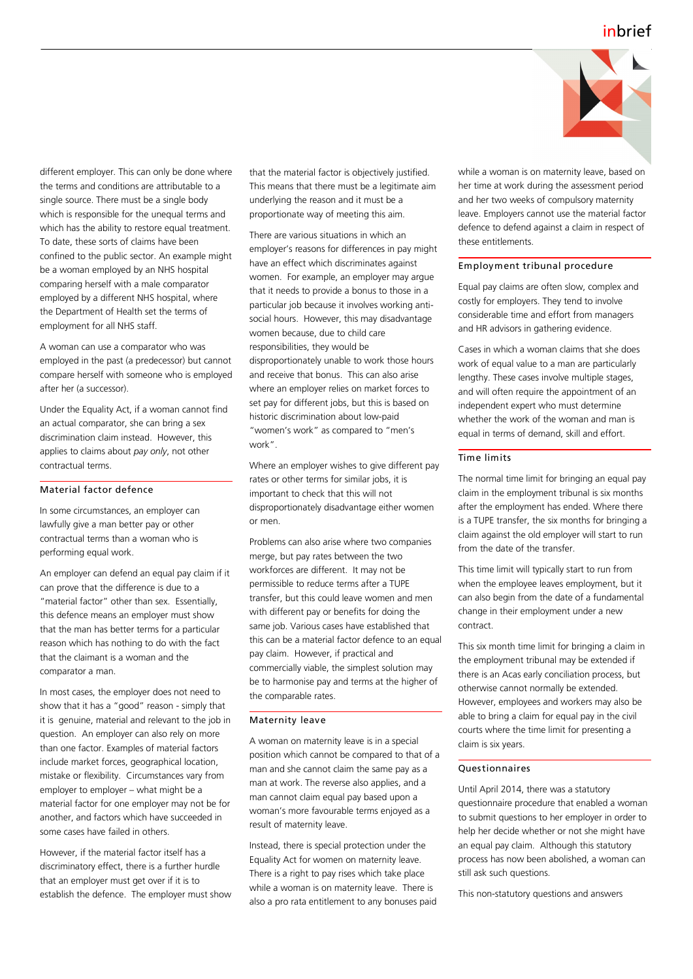

different employer. This can only be done where the terms and conditions are attributable to a single source. There must be a single body which is responsible for the unequal terms and which has the ability to restore equal treatment. To date, these sorts of claims have been confined to the public sector. An example might be a woman employed by an NHS hospital comparing herself with a male comparator employed by a different NHS hospital, where the Department of Health set the terms of employment for all NHS staff.

A woman can use a comparator who was employed in the past (a predecessor) but cannot compare herself with someone who is employed after her (a successor).

Under the Equality Act, if a woman cannot find an actual comparator, she can bring a sex discrimination claim instead. However, this applies to claims about *pay only*, not other contractual terms.

## Material factor defence

In some circumstances, an employer can lawfully give a man better pay or other contractual terms than a woman who is performing equal work.

An employer can defend an equal pay claim if it can prove that the difference is due to a "material factor" other than sex. Essentially, this defence means an employer must show that the man has better terms for a particular reason which has nothing to do with the fact that the claimant is a woman and the comparator a man.

In most cases, the employer does not need to show that it has a "good" reason - simply that it is genuine, material and relevant to the job in question. An employer can also rely on more than one factor. Examples of material factors include market forces, geographical location, mistake or flexibility. Circumstances vary from employer to employer – what might be a material factor for one employer may not be for another, and factors which have succeeded in some cases have failed in others.

However, if the material factor itself has a discriminatory effect, there is a further hurdle that an employer must get over if it is to establish the defence. The employer must show that the material factor is objectively justified. This means that there must be a legitimate aim underlying the reason and it must be a proportionate way of meeting this aim.

There are various situations in which an employer's reasons for differences in pay might have an effect which discriminates against women. For example, an employer may argue that it needs to provide a bonus to those in a particular job because it involves working antisocial hours. However, this may disadvantage women because, due to child care responsibilities, they would be disproportionately unable to work those hours and receive that bonus. This can also arise where an employer relies on market forces to set pay for different jobs, but this is based on historic discrimination about low-paid "women's work" as compared to "men's work".

Where an employer wishes to give different pay rates or other terms for similar jobs, it is important to check that this will not disproportionately disadvantage either women or men.

Problems can also arise where two companies merge, but pay rates between the two workforces are different. It may not be permissible to reduce terms after a TUPE transfer, but this could leave women and men with different pay or benefits for doing the same job. Various cases have established that this can be a material factor defence to an equal pay claim. However, if practical and commercially viable, the simplest solution may be to harmonise pay and terms at the higher of the comparable rates.

#### Maternity leave

A woman on maternity leave is in a special position which cannot be compared to that of a man and she cannot claim the same pay as a man at work. The reverse also applies, and a man cannot claim equal pay based upon a woman's more favourable terms enjoyed as a result of maternity leave.

Instead, there is special protection under the Equality Act for women on maternity leave. There is a right to pay rises which take place while a woman is on maternity leave. There is also a pro rata entitlement to any bonuses paid while a woman is on maternity leave, based on her time at work during the assessment period and her two weeks of compulsory maternity leave. Employers cannot use the material factor defence to defend against a claim in respect of these entitlements.

#### Employment tribunal procedure

Equal pay claims are often slow, complex and costly for employers. They tend to involve considerable time and effort from managers and HR advisors in gathering evidence.

Cases in which a woman claims that she does work of equal value to a man are particularly lengthy. These cases involve multiple stages, and will often require the appointment of an independent expert who must determine whether the work of the woman and man is equal in terms of demand, skill and effort.

## Time limits

The normal time limit for bringing an equal pay claim in the employment tribunal is six months after the employment has ended. Where there is a TUPE transfer, the six months for bringing a claim against the old employer will start to run from the date of the transfer.

This time limit will typically start to run from when the employee leaves employment, but it can also begin from the date of a fundamental change in their employment under a new contract.

This six month time limit for bringing a claim in the employment tribunal may be extended if there is an Acas early conciliation process, but otherwise cannot normally be extended. However, employees and workers may also be able to bring a claim for equal pay in the civil courts where the time limit for presenting a claim is six years.

## Questionnaires

Until April 2014, there was a statutory questionnaire procedure that enabled a woman to submit questions to her employer in order to help her decide whether or not she might have an equal pay claim. Although this statutory process has now been abolished, a woman can still ask such questions.

This non-statutory questions and answers